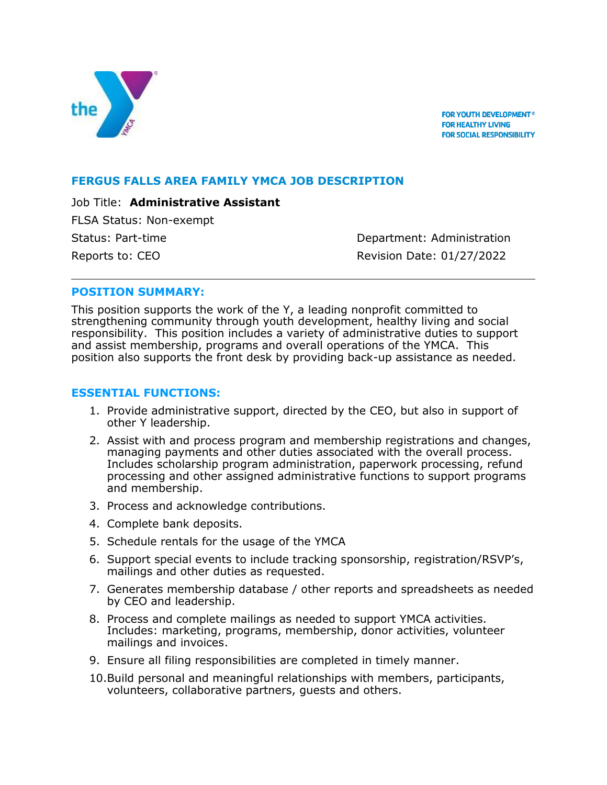

FOR YOUTH DEVELOPMENT® **FOR HEALTHY LIVING FOR SOCIAL RESPONSIBILITY** 

### **FERGUS FALLS AREA FAMILY YMCA JOB DESCRIPTION**

Job Title: **Administrative Assistant** FLSA Status: Non-exempt Status: Part-time **Department: Administration** Reports to: CEO **Revision Date: 01/27/2022** 

### **POSITION SUMMARY:**

This position supports the work of the Y, a leading nonprofit committed to strengthening community through youth development, healthy living and social responsibility. This position includes a variety of administrative duties to support and assist membership, programs and overall operations of the YMCA. This position also supports the front desk by providing back-up assistance as needed.

#### **ESSENTIAL FUNCTIONS:**

- 1. Provide administrative support, directed by the CEO, but also in support of other Y leadership.
- 2. Assist with and process program and membership registrations and changes, managing payments and other duties associated with the overall process. Includes scholarship program administration, paperwork processing, refund processing and other assigned administrative functions to support programs and membership.
- 3. Process and acknowledge contributions.
- 4. Complete bank deposits.
- 5. Schedule rentals for the usage of the YMCA
- 6. Support special events to include tracking sponsorship, registration/RSVP's, mailings and other duties as requested.
- 7. Generates membership database / other reports and spreadsheets as needed by CEO and leadership.
- 8. Process and complete mailings as needed to support YMCA activities. Includes: marketing, programs, membership, donor activities, volunteer mailings and invoices.
- 9. Ensure all filing responsibilities are completed in timely manner.
- 10.Build personal and meaningful relationships with members, participants, volunteers, collaborative partners, guests and others.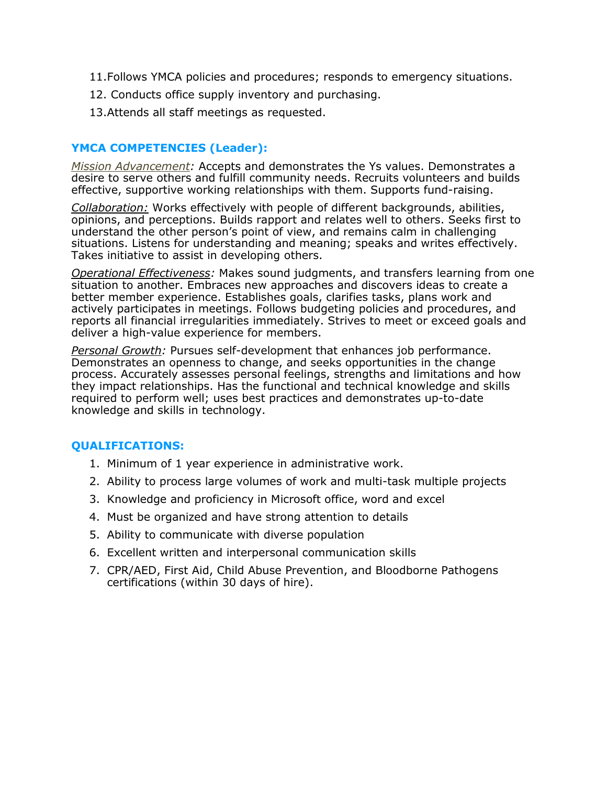- 11.Follows YMCA policies and procedures; responds to emergency situations.
- 12. Conducts office supply inventory and purchasing.
- 13.Attends all staff meetings as requested.

#### **YMCA COMPETENCIES (Leader):**

*Mission Advancement:* Accepts and demonstrates the Ys values. Demonstrates a desire to serve others and fulfill community needs. Recruits volunteers and builds effective, supportive working relationships with them. Supports fund-raising.

*Collaboration:* Works effectively with people of different backgrounds, abilities, opinions, and perceptions. Builds rapport and relates well to others. Seeks first to understand the other person's point of view, and remains calm in challenging situations. Listens for understanding and meaning; speaks and writes effectively. Takes initiative to assist in developing others.

*Operational Effectiveness:* Makes sound judgments, and transfers learning from one situation to another. Embraces new approaches and discovers ideas to create a better member experience. Establishes goals, clarifies tasks, plans work and actively participates in meetings. Follows budgeting policies and procedures, and reports all financial irregularities immediately. Strives to meet or exceed goals and deliver a high-value experience for members.

*Personal Growth:* Pursues self-development that enhances job performance. Demonstrates an openness to change, and seeks opportunities in the change process. Accurately assesses personal feelings, strengths and limitations and how they impact relationships. Has the functional and technical knowledge and skills required to perform well; uses best practices and demonstrates up-to-date knowledge and skills in technology.

# **QUALIFICATIONS:**

- 1. Minimum of 1 year experience in administrative work.
- 2. Ability to process large volumes of work and multi-task multiple projects
- 3. Knowledge and proficiency in Microsoft office, word and excel
- 4. Must be organized and have strong attention to details
- 5. Ability to communicate with diverse population
- 6. Excellent written and interpersonal communication skills
- 7. CPR/AED, First Aid, Child Abuse Prevention, and Bloodborne Pathogens certifications (within 30 days of hire).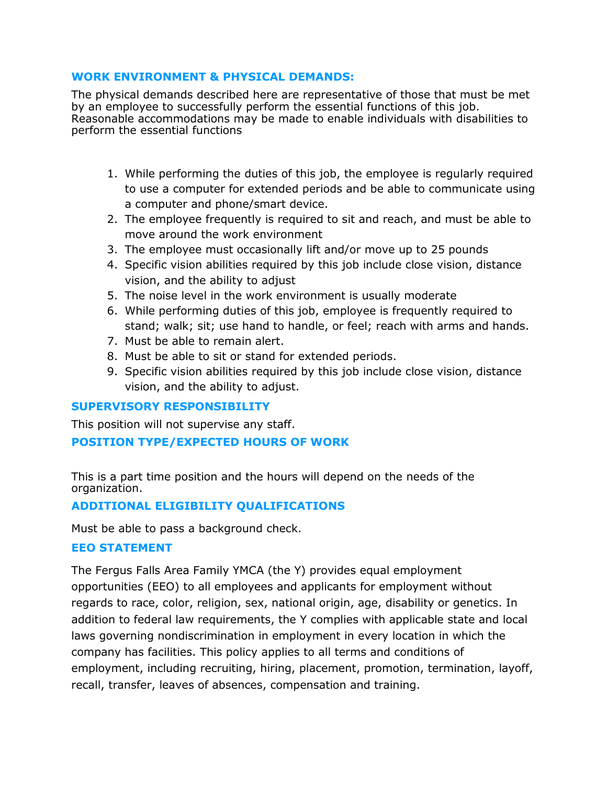### **WORK ENVIRONMENT & PHYSICAL DEMANDS:**

The physical demands described here are representative of those that must be met by an employee to successfully perform the essential functions of this job. Reasonable accommodations may be made to enable individuals with disabilities to perform the essential functions

- 1. While performing the duties of this job, the employee is regularly required to use a computer for extended periods and be able to communicate using a computer and phone/smart device.
- 2. The employee frequently is required to sit and reach, and must be able to move around the work environment
- 3. The employee must occasionally lift and/or move up to 25 pounds
- 4. Specific vision abilities required by this job include close vision, distance vision, and the ability to adjust
- 5. The noise level in the work environment is usually moderate
- 6. While performing duties of this job, employee is frequently required to stand; walk; sit; use hand to handle, or feel; reach with arms and hands.
- 7. Must be able to remain alert.
- 8. Must be able to sit or stand for extended periods.
- 9. Specific vision abilities required by this job include close vision, distance vision, and the ability to adjust.

# **SUPERVISORY RESPONSIBILITY**

This position will not supervise any staff.

# **POSITION TYPE/EXPECTED HOURS OF WORK**

This is a part time position and the hours will depend on the needs of the organization.

# **ADDITIONAL ELIGIBILITY QUALIFICATIONS**

Must be able to pass a background check.

# **EEO STATEMENT**

The Fergus Falls Area Family YMCA (the Y) provides equal employment opportunities (EEO) to all employees and applicants for employment without regards to race, color, religion, sex, national origin, age, disability or genetics. In addition to federal law requirements, the Y complies with applicable state and local laws governing nondiscrimination in employment in every location in which the company has facilities. This policy applies to all terms and conditions of employment, including recruiting, hiring, placement, promotion, termination, layoff, recall, transfer, leaves of absences, compensation and training.